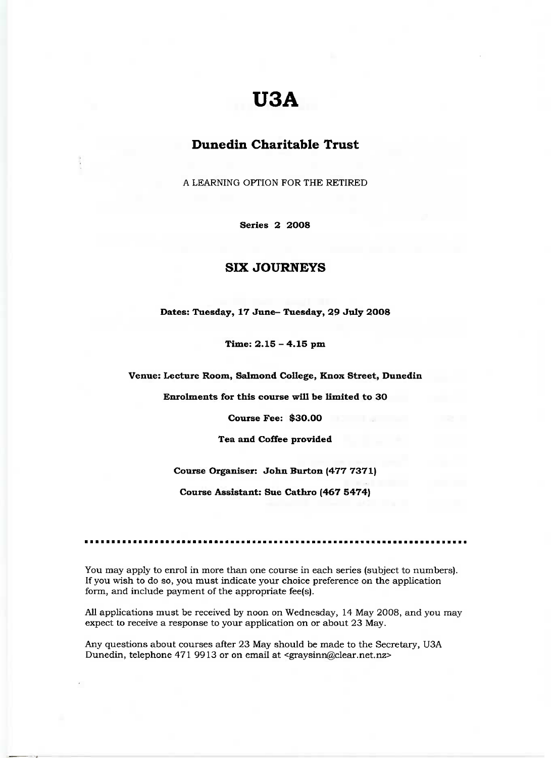# **U3A**

## **Dunedin Charitable Trust**

A LEARNING OPTION FOR THE RETIRED

**Series 2 2008**

### SIX JOURNEYS

**Dates: Tuesday, 17 June- Tuesday, 29 July 20O8**

**Time: 2.15 - 4.15 pm**

**Venue: Lecture Room, Salmond College, Knox Street, Dunedin**

Enrolments **for this course will be limited to 30**

**Course Fee: \$30.00**

**Tea and Coffee provided**

**Course Organiser: John Burton (477 7371)**

**Course Assistant: Sue Cathro (467 5474)**

You may apply to enrol in more than one course in each series (subject to numbers). If you wish to do so, you must indicate your choice preference on the application form, and include payment of the appropriate fee(s).

All applications must be received by noon on Wednesday, 14 May 2008, and you may expect to receive a response to your application on or about 23 May.

Any questions about courses after 23 May should be made to the Secretary, U3A Dunedin, telephone 471 9913 or on email at <graysinn@clear.net.nz>